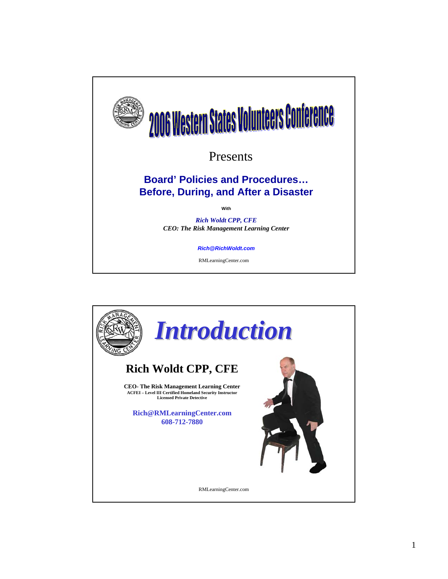

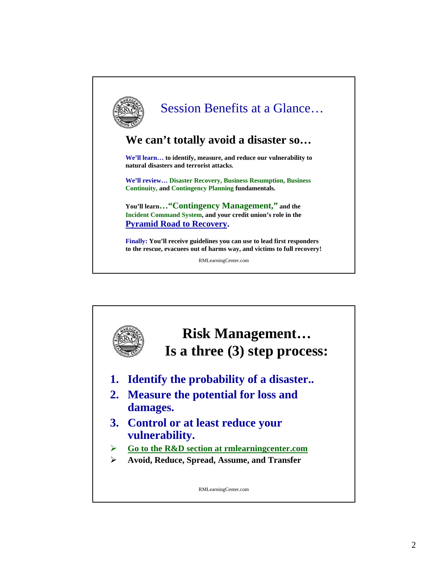

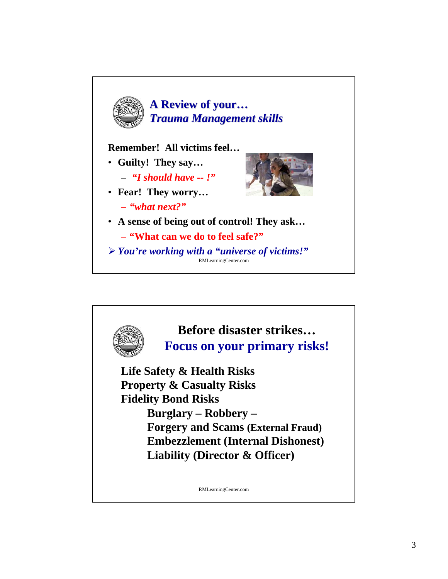

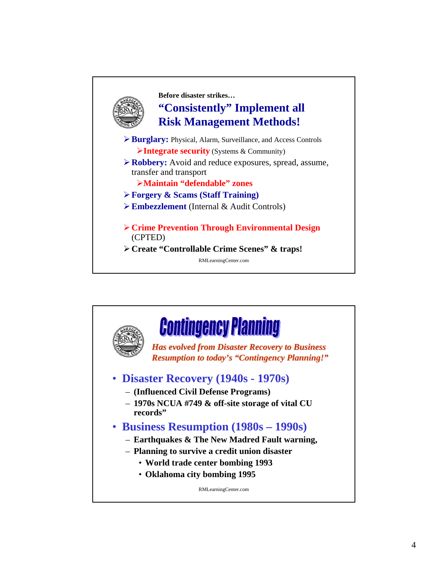

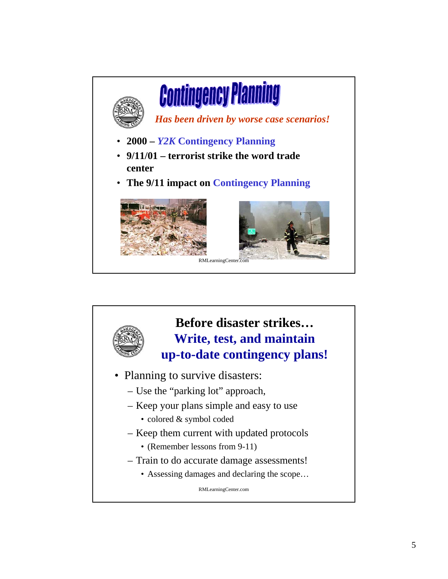

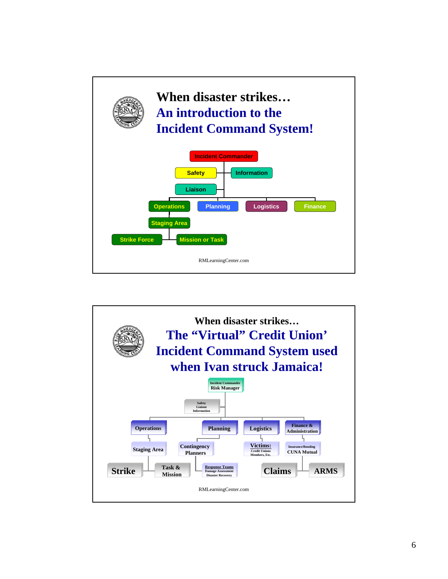

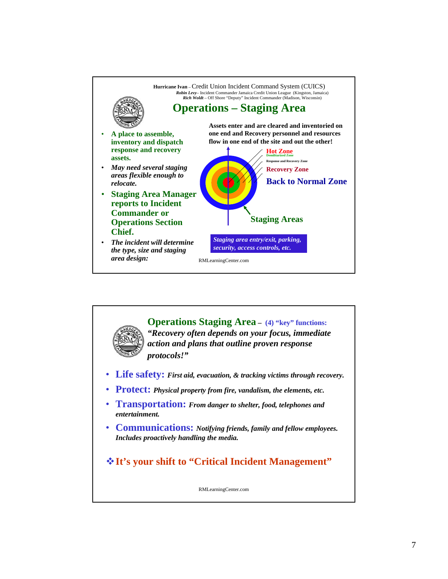

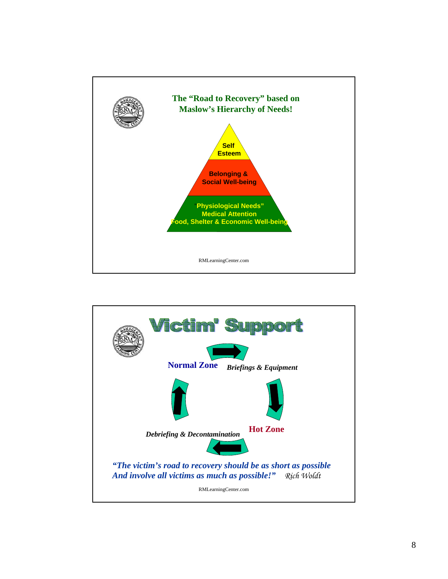